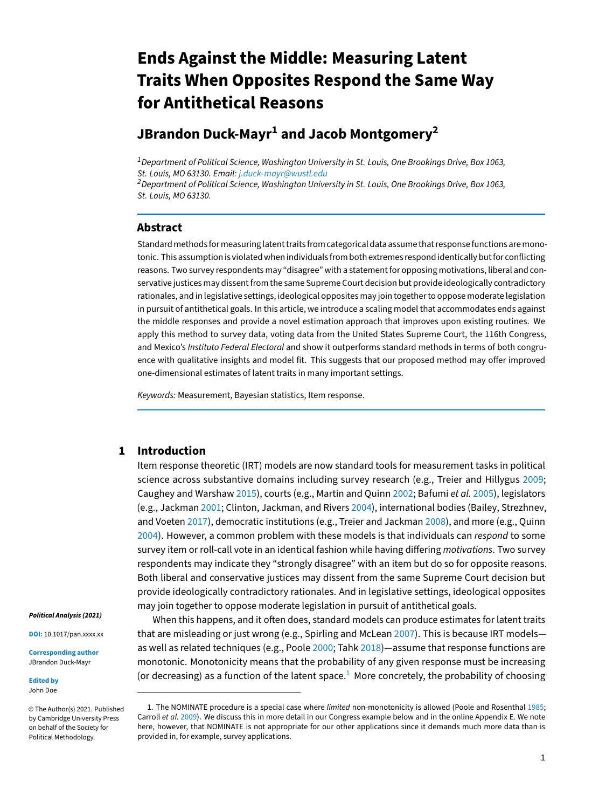# **Ends Against the Middle: Measuring Latent Traits When Opposites Respond the Same Way for Antithetical Reasons**

# **JBrandon Duck-Mayr<sup>1</sup> and Jacob Montgomery<sup>2</sup>**

 $1$  Department of Political Science, Washington University in St. Louis, One Brookings Drive, Box 1063, St. Louis, MO 63130. Email: <j.duck-mayr@wustl.edu>

 $2$  Department of Political Science, Washington University in St. Louis, One Brookings Drive, Box 1063, St. Louis, MO 63130.

# **Abstract**

Standard methods for measuring latent traits from categorical data assume that response functions are monotonic. This assumption is violated when individuals from both extremes respond identically but for conflicting reasons. Two survey respondents may "disagree" with a statement for opposing motivations, liberal and conservative justices may dissent from the same Supreme Court decision but provide ideologically contradictory rationales, and in legislative settings, ideological opposites may join together to oppose moderate legislation in pursuit of antithetical goals. In this article, we introduce a scaling model that accommodates ends against the middle responses and provide a novel estimation approach that improves upon existing routines. We apply this method to survey data, voting data from the United States Supreme Court, the 116th Congress, and Mexico's Instituto Federal Electoral and show it outperforms standard methods in terms of both congruence with qualitative insights and model fit. This suggests that our proposed method may offer improved one-dimensional estimates of latent traits in many important settings.

Keywords: Measurement, Bayesian statistics, Item response.

# **1 Introduction**

Item response theoretic (IRT) models are now standard tools for measurement tasks in political science across substantive domains including survey research (e.g., Treier and Hillygus [2009;](#page-19-0) Caughey and Warshaw [2015\)](#page-18-0), courts (e.g., Martin and Quinn [2002;](#page-19-1) Bafumi et al. [2005\)](#page-17-0), legislators (e.g., Jackman [2001;](#page-18-1) Clinton, Jackman, and Rivers [2004\)](#page-18-2), international bodies (Bailey, Strezhnev, and Voeten [2017\)](#page-17-1), democratic institutions (e.g., Treier and Jackman [2008\)](#page-19-2), and more (e.g., Quinn [2004\)](#page-19-3). However, a common problem with these models is that individuals can respond to some survey item or roll-call vote in an identical fashion while having differing motivations. Two survey respondents may indicate they "strongly disagree" with an item but do so for opposite reasons. Both liberal and conservative justices may dissent from the same Supreme Court decision but provide ideologically contradictory rationales. And in legislative settings, ideological opposites may join together to oppose moderate legislation in pursuit of antithetical goals.

When this happens, and it often does, standard models can produce estimates for latent traits that are misleading or just wrong (e.g., Spirling and McLean [2007\)](#page-19-4). This is because IRT models as well as related techniques (e.g., Poole [2000;](#page-19-5) Tahk [2018\)](#page-19-6)—assume that response functions are monotonic. Monotonicity means that the probability of any given response must be increasing (or decreasing) as a function of the latent space.<sup>[1](#page-0-0)</sup> More concretely, the probability of choosing

**Political Analysis (2021)**

**DOI:** 10.1017/pan.xxxx.xx

**Corresponding author** JBrandon Duck-Mayr

**Edited by** John Doe

© The Author(s) 2021. Published by Cambridge University Press on behalf of the Society for Political Methodology.

<span id="page-0-0"></span><sup>1.</sup> The NOMINATE procedure is a special case where limited non-monotonicity is allowed (Poole and Rosenthal [1985;](#page-19-7) Carroll et al. [2009\)](#page-18-3). We discuss this in more detail in our Congress example below and in the online Appendix E. We note here, however, that NOMINATE is not appropriate for our other applications since it demands much more data than is provided in, for example, survey applications.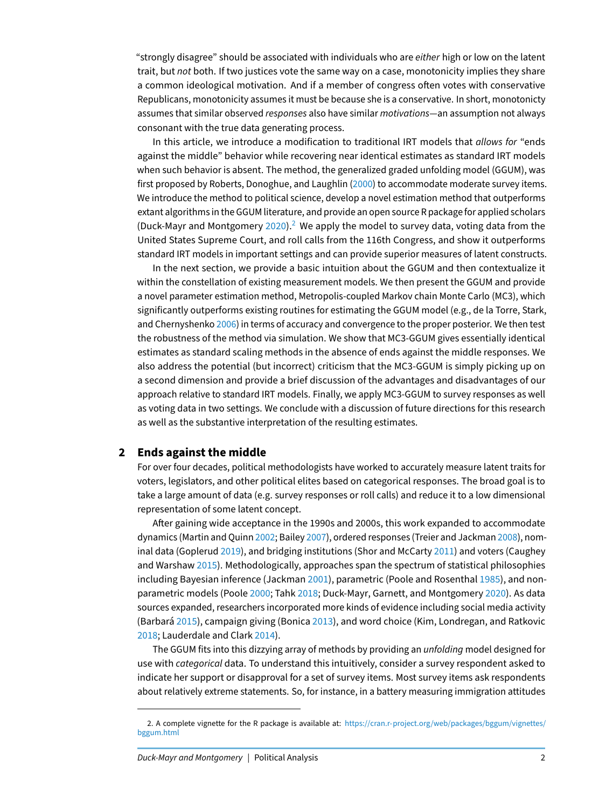"strongly disagree" should be associated with individuals who are either high or low on the latent trait, but not both. If two justices vote the same way on a case, monotonicity implies they share a common ideological motivation. And if a member of congress often votes with conservative Republicans, monotonicity assumes it must be because she is a conservative. In short, monotonicty assumes that similar observed responses also have similar motivations-an assumption not always consonant with the true data generating process.

In this article, we introduce a modification to traditional IRT models that allows for "ends against the middle" behavior while recovering near identical estimates as standard IRT models when such behavior is absent. The method, the generalized graded unfolding model (GGUM), was first proposed by Roberts, Donoghue, and Laughlin [\(2000\)](#page-19-8) to accommodate moderate survey items. We introduce the method to political science, develop a novel estimation method that outperforms extant algorithms in the GGUM literature, and provide an open source R package for applied scholars (Duck-Mayr and Montgomery [2020\)](#page-18-4).<sup>[2](#page-1-0)</sup> We apply the model to survey data, voting data from the United States Supreme Court, and roll calls from the 116th Congress, and show it outperforms standard IRT models in important settings and can provide superior measures of latent constructs.

In the next section, we provide a basic intuition about the GGUM and then contextualize it within the constellation of existing measurement models. We then present the GGUM and provide a novel parameter estimation method, Metropolis-coupled Markov chain Monte Carlo (MC3), which significantly outperforms existing routines for estimating the GGUM model (e.g., de la Torre, Stark, and Chernyshenko [2006\)](#page-18-5) in terms of accuracy and convergence to the proper posterior. We then test the robustness of the method via simulation. We show that MC3-GGUM gives essentially identical estimates as standard scaling methods in the absence of ends against the middle responses. We also address the potential (but incorrect) criticism that the MC3-GGUM is simply picking up on a second dimension and provide a brief discussion of the advantages and disadvantages of our approach relative to standard IRT models. Finally, we apply MC3-GGUM to survey responses as well as voting data in two settings. We conclude with a discussion of future directions for this research as well as the substantive interpretation of the resulting estimates.

#### **2 Ends against the middle**

For over four decades, political methodologists have worked to accurately measure latent traits for voters, legislators, and other political elites based on categorical responses. The broad goal is to take a large amount of data (e.g. survey responses or roll calls) and reduce it to a low dimensional representation of some latent concept.

After gaining wide acceptance in the 1990s and 2000s, this work expanded to accommodate dynamics (Martin and Quinn [2002;](#page-19-1) Bailey [2007\)](#page-17-2), ordered responses (Treier and Jackman [2008\)](#page-19-2), nominal data (Goplerud [2019\)](#page-18-6), and bridging institutions (Shor and McCarty [2011\)](#page-19-9) and voters (Caughey and Warshaw [2015\)](#page-18-0). Methodologically, approaches span the spectrum of statistical philosophies including Bayesian inference (Jackman [2001\)](#page-18-1), parametric (Poole and Rosenthal [1985\)](#page-19-7), and nonparametric models (Poole [2000;](#page-19-5) Tahk [2018;](#page-19-6) Duck-Mayr, Garnett, and Montgomery [2020\)](#page-18-7). As data sources expanded, researchers incorporated more kinds of evidence including social media activity (Barbará [2015\)](#page-17-3), campaign giving (Bonica [2013\)](#page-17-4), and word choice (Kim, Londregan, and Ratkovic [2018;](#page-18-8) Lauderdale and Clark [2014\)](#page-19-10).

The GGUM fits into this dizzying array of methods by providing an unfolding model designed for use with categorical data. To understand this intuitively, consider a survey respondent asked to indicate her support or disapproval for a set of survey items. Most survey items ask respondents about relatively extreme statements. So, for instance, in a battery measuring immigration attitudes

<span id="page-1-0"></span><sup>2.</sup> A complete vignette for the R package is available at: [https://cran.r-project.org/web/packages/bggum/vignettes/](https://cran.r-project.org/web/packages/bggum/vignettes/bggum.html) [bggum.html](https://cran.r-project.org/web/packages/bggum/vignettes/bggum.html)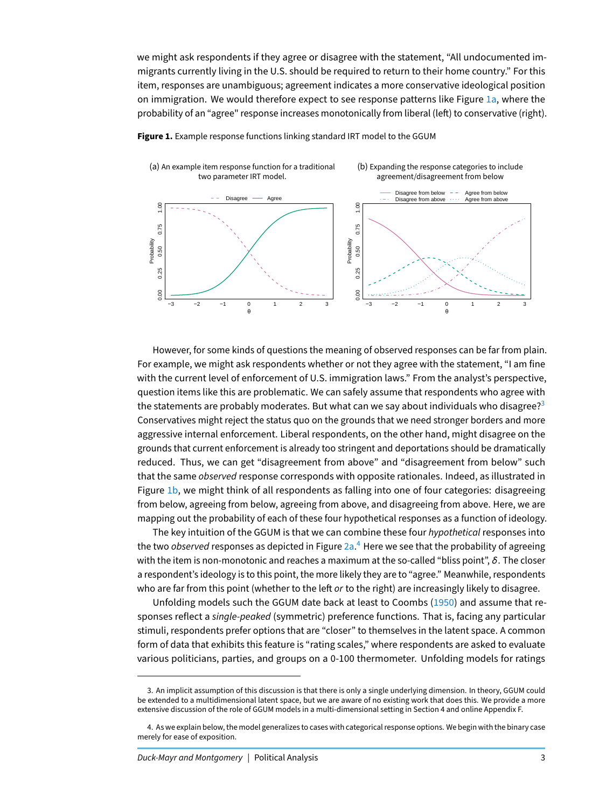we might ask respondents if they agree or disagree with the statement, "All undocumented immigrants currently living in the U.S. should be required to return to their home country." For this item, responses are unambiguous; agreement indicates a more conservative ideological position on immigration. We would therefore expect to see response patterns like Figure [1a,](#page-2-0) where the probability of an "agree" response increases monotonically from liberal (left) to conservative (right).



<span id="page-2-0"></span>

However, for some kinds of questions the meaning of observed responses can be far from plain. For example, we might ask respondents whether or not they agree with the statement, "I am fine with the current level of enforcement of U.S. immigration laws." From the analyst's perspective, question items like this are problematic. We can safely assume that respondents who agree with the statements are probably moderates. But what can we say about individuals who disagree?<sup>[3](#page-2-1)</sup> Conservatives might reject the status quo on the grounds that we need stronger borders and more aggressive internal enforcement. Liberal respondents, on the other hand, might disagree on the grounds that current enforcement is already too stringent and deportations should be dramatically reduced. Thus, we can get "disagreement from above" and "disagreement from below" such that the same *observed* response corresponds with opposite rationales. Indeed, as illustrated in Figure [1b,](#page-2-0) we might think of all respondents as falling into one of four categories: disagreeing from below, agreeing from below, agreeing from above, and disagreeing from above. Here, we are mapping out the probability of each of these four hypothetical responses as a function of ideology.

The key intuition of the GGUM is that we can combine these four hypothetical responses into the two *observed r*esponses as depicted in Figure [2a.](#page-3-0)<sup>[4](#page-2-2)</sup> Here we see that the probability of agreeing with the item is non-monotonic and reaches a maximum at the so-called "bliss point",  $\delta$ . The closer a respondent's ideology is to this point, the more likely they are to "agree." Meanwhile, respondents who are far from this point (whether to the left or to the right) are increasingly likely to disagree.

Unfolding models such the GGUM date back at least to Coombs [\(1950\)](#page-18-9) and assume that responses reflect a single-peaked (symmetric) preference functions. That is, facing any particular stimuli, respondents prefer options that are "closer" to themselves in the latent space. A common form of data that exhibits this feature is "rating scales," where respondents are asked to evaluate various politicians, parties, and groups on a 0-100 thermometer. Unfolding models for ratings

<span id="page-2-1"></span><sup>3.</sup> An implicit assumption of this discussion is that there is only a single underlying dimension. In theory, GGUM could be extended to a multidimensional latent space, but we are aware of no existing work that does this. We provide a more extensive discussion of the role of GGUM models in a multi-dimensional setting in Section 4 and online Appendix F.

<span id="page-2-2"></span><sup>4.</sup> As we explain below, the model generalizes to cases with categorical response options. We begin with the binary case merely for ease of exposition.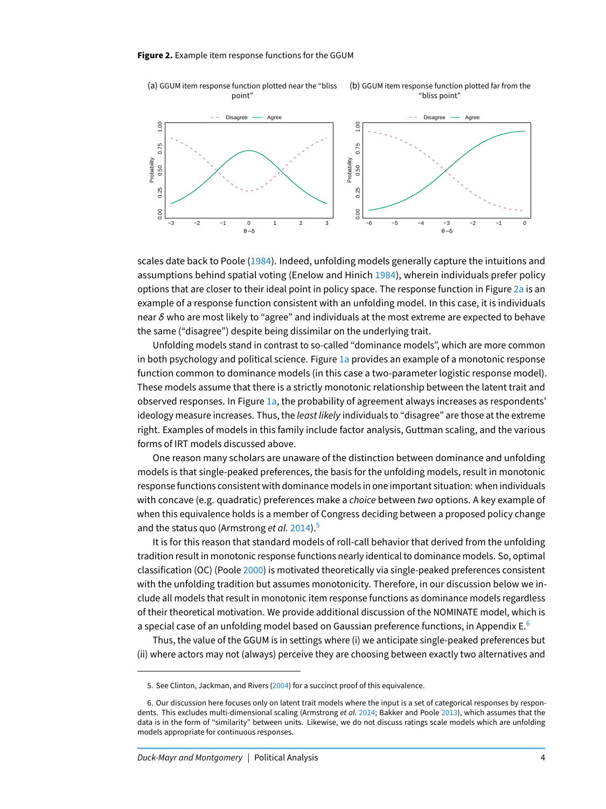<span id="page-3-0"></span>

scales date back to Poole [\(1984\)](#page-19-11). Indeed, unfolding models generally capture the intuitions and assumptions behind spatial voting (Enelow and Hinich [1984\)](#page-18-10), wherein individuals prefer policy options that are closer to their ideal point in policy space. The response function in Figure [2a](#page-3-0) is an example of a response function consistent with an unfolding model. In this case, it is individuals near  $\delta$  who are most likely to "agree" and individuals at the most extreme are expected to behave the same ("disagree") despite being dissimilar on the underlying trait.

Unfolding models stand in contrast to so-called "dominance models", which are more common in both psychology and political science. Figure [1a](#page-2-0) provides an example of a monotonic response function common to dominance models (in this case a two-parameter logistic response model). These models assume that there is a strictly monotonic relationship between the latent trait and observed responses. In Figure  $1a$ , the probability of agreement always increases as respondents' ideology measure increases. Thus, the least likely individuals to "disagree" are those at the extreme right. Examples of models in this family include factor analysis, Guttman scaling, and the various forms of IRT models discussed above.

One reason many scholars are unaware of the distinction between dominance and unfolding models is that single-peaked preferences, the basis for the unfolding models, result in monotonic response functions consistent with dominance models in one important situation: when individuals with concave (e.g. quadratic) preferences make a choice between two options. A key example of when this equivalence holds is a member of Congress deciding between a proposed policy change and the status quo (Armstrong et al. [2014\)](#page-17-5).<sup>[5](#page-3-1)</sup>

It is for this reason that standard models of roll-call behavior that derived from the unfolding tradition result in monotonic response functions nearly identical to dominance models. So, optimal classification (OC) (Poole [2000\)](#page-19-5) is motivated theoretically via single-peaked preferences consistent with the unfolding tradition but assumes monotonicity. Therefore, in our discussion below we include all models that result in monotonic item response functions as dominance models regardless of their theoretical motivation. We provide additional discussion of the NOMINATE model, which is a special case of an unfolding model based on Gaussian preference functions, in Appendix  $E<sup>6</sup>$  $E<sup>6</sup>$  $E<sup>6</sup>$ 

Thus, the value of the GGUM is in settings where (i) we anticipate single-peaked preferences but (ii) where actors may not (always) perceive they are choosing between exactly two alternatives and

<span id="page-3-2"></span><span id="page-3-1"></span><sup>5.</sup> See Clinton, Jackman, and Rivers [\(2004\)](#page-18-2) for a succinct proof of this equivalence.

<sup>6.</sup> Our discussion here focuses only on latent trait models where the input is a set of categorical responses by respon-dents. This excludes multi-dimensional scaling (Armstrong et al. [2014;](#page-17-5) Bakker and Poole [2013\)](#page-17-6), which assumes that the data is in the form of "similarity" between units. Likewise, we do not discuss ratings scale models which are unfolding models appropriate for continuous responses.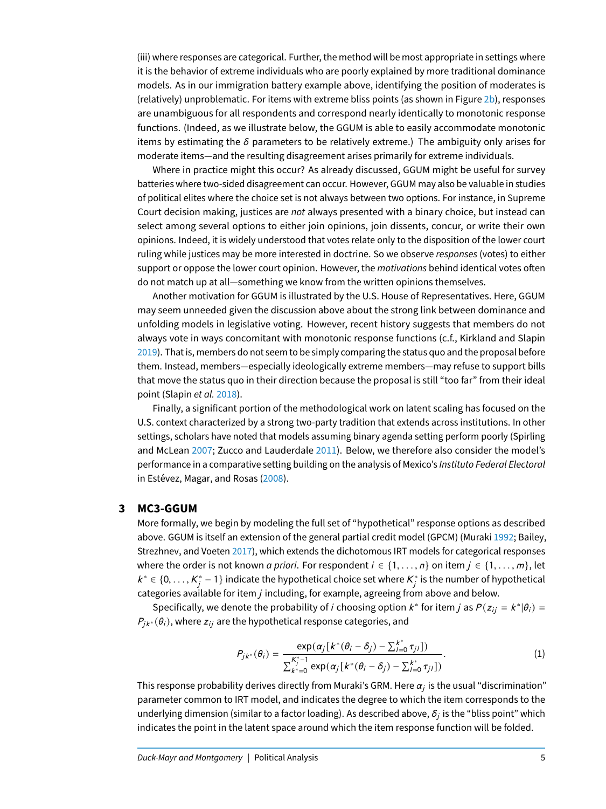(iii) where responses are categorical. Further, the method will be most appropriate in settings where it is the behavior of extreme individuals who are poorly explained by more traditional dominance models. As in our immigration battery example above, identifying the position of moderates is (relatively) unproblematic. For items with extreme bliss points (as shown in Figure [2b\)](#page-3-0), responses are unambiguous for all respondents and correspond nearly identically to monotonic response functions. (Indeed, as we illustrate below, the GGUM is able to easily accommodate monotonic items by estimating the  $\delta$  parameters to be relatively extreme.) The ambiguity only arises for moderate items—and the resulting disagreement arises primarily for extreme individuals.

Where in practice might this occur? As already discussed, GGUM might be useful for survey batteries where two-sided disagreement can occur. However, GGUM may also be valuable in studies of political elites where the choice set is not always between two options. For instance, in Supreme Court decision making, justices are not always presented with a binary choice, but instead can select among several options to either join opinions, join dissents, concur, or write their own opinions. Indeed, it is widely understood that votes relate only to the disposition of the lower court ruling while justices may be more interested in doctrine. So we observe responses (votes) to either support or oppose the lower court opinion. However, the *motivations* behind identical votes often do not match up at all—something we know from the written opinions themselves.

Another motivation for GGUM is illustrated by the U.S. House of Representatives. Here, GGUM may seem unneeded given the discussion above about the strong link between dominance and unfolding models in legislative voting. However, recent history suggests that members do not always vote in ways concomitant with monotonic response functions (c.f., Kirkland and Slapin [2019\)](#page-19-12). That is, members do not seem to be simply comparing the status quo and the proposal before them. Instead, members—especially ideologically extreme members—may refuse to support bills that move the status quo in their direction because the proposal is still "too far" from their ideal point (Slapin et al. [2018\)](#page-19-13).

Finally, a significant portion of the methodological work on latent scaling has focused on the U.S. context characterized by a strong two-party tradition that extends across institutions. In other settings, scholars have noted that models assuming binary agenda setting perform poorly (Spirling and McLean [2007;](#page-19-4) Zucco and Lauderdale [2011\)](#page-19-14). Below, we therefore also consider the model's performance in a comparative setting building on the analysis of Mexico's Instituto Federal Electoral in Estévez, Magar, and Rosas [\(2008\)](#page-18-11).

#### **3 MC3-GGUM**

More formally, we begin by modeling the full set of "hypothetical" response options as described above. GGUM is itself an extension of the general partial credit model (GPCM) (Muraki [1992;](#page-19-15) Bailey, Strezhnev, and Voeten [2017\)](#page-17-1), which extends the dichotomous IRT models for categorical responses where the order is not known *a priori*. For respondent  $i \in \{1, \ldots, n\}$  on item  $j \in \{1, \ldots, m\}$ , let  $k^*$  ∈ {0, ...,  $K_j^*$  – 1} indicate the hypothetical choice set where  $K_j^*$  is the number of hypothetical choice set where  $K_j^*$  is the number of hypothetical categories available for item  $j$  including, for example, agreeing from above and below.

Specifically, we denote the probability of *i* choosing option  $k^*$  for item *j* as  $P(z_{ij} = k^*|\theta_i) =$  $P_{jk^*}(\theta_i)$ , where  $z_{ij}$  are the hypothetical response categories, and

$$
P_{jk^*}(\theta_i) = \frac{\exp(\alpha_j [k^*(\theta_i - \delta_j) - \sum_{l=0}^{k^*} \tau_{jl}])}{\sum_{k^*=0}^{K_j^*-1} \exp(\alpha_j [k^*(\theta_i - \delta_j) - \sum_{l=0}^{k^*} \tau_{jl}])}.
$$
 (1)

This response probability derives directly from Muraki's GRM. Here  $\alpha_j$  is the usual "discrimination" parameter common to IRT model, and indicates the degree to which the item corresponds to the underlying dimension (similar to a factor loading). As described above,  $\delta_j$  is the "bliss point" which indicates the point in the latent space around which the item response function will be folded.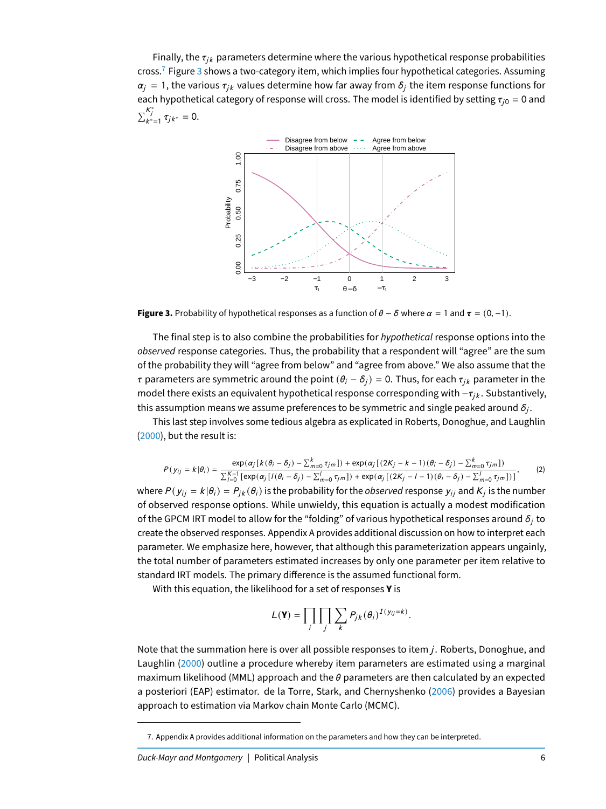Finally, the  $\tau_{ik}$  parameters determine where the various hypothetical response probabilities cross.<sup>[7](#page-5-0)</sup> Figure [3](#page-5-1) shows a two-category item, which implies four hypothetical categories. Assuming  $\alpha_i = 1$ , the various  $\tau_{ik}$  values determine how far away from  $\delta_i$  the item response functions for each hypothetical category of response will cross. The model is identified by setting  $\tau_{i0} = 0$  and  $\sum_{k^*=1}^{K_j^*} \tau_{jk^*} = 0.$ 

<span id="page-5-1"></span>

**Figure 3.** Probability of hypothetical responses as a function of  $\theta - \delta$  where  $\alpha = 1$  and  $\tau = (0, -1)$ .

The final step is to also combine the probabilities for hypothetical response options into the observed response categories. Thus, the probability that a respondent will "agree" are the sum of the probability they will "agree from below" and "agree from above." We also assume that the τ parameters are symmetric around the point  $(θ<sub>i</sub> - δ<sub>i</sub>) = 0$ . Thus, for each  $τ<sub>ik</sub>$  parameter in the model there exists an equivalent hypothetical response corresponding with  $-\tau_{ik}$ . Substantively, this assumption means we assume preferences to be symmetric and single peaked around  $\delta_j.$ 

This last step involves some tedious algebra as explicated in Roberts, Donoghue, and Laughlin [\(2000\)](#page-19-8), but the result is:

<span id="page-5-2"></span>
$$
P(y_{ij} = k | \theta_i) = \frac{\exp(\alpha_j [k(\theta_i - \delta_j) - \sum_{m=0}^k \tau_{jm}]) + \exp(\alpha_j [(2K_j - k - 1)(\theta_i - \delta_j) - \sum_{m=0}^k \tau_{jm}])}{\sum_{l=0}^{K-1} [\exp(\alpha_j [l(\theta_i - \delta_j) - \sum_{m=0}^l \tau_{jm}]) + \exp(\alpha_j [2K_j - l - 1)(\theta_i - \delta_j) - \sum_{m=0}^l \tau_{jm}]))},
$$
(2)

where  $P(\,y_{ij}=k|\theta_i)=P_{jk}(\theta_i)$  is the probability for the  $observed$  response  $y_{ij}$  and  $K_j$  is the number of observed response options. While unwieldy, this equation is actually a modest modification of the GPCM IRT model to allow for the "folding" of various hypothetical responses around  $\delta_i$  to create the observed responses. Appendix A provides additional discussion on how to interpret each parameter. We emphasize here, however, that although this parameterization appears ungainly, the total number of parameters estimated increases by only one parameter per item relative to standard IRT models. The primary difference is the assumed functional form.

With this equation, the likelihood for a set of responses **Y** is

$$
L(\mathbf{Y}) = \prod_i \prod_j \sum_k P_{jk} (\theta_i)^{I(y_{ij}=k)}
$$

Note that the summation here is over all possible responses to item  $i$ . Roberts, Donoghue, and Laughlin [\(2000\)](#page-19-8) outline a procedure whereby item parameters are estimated using a marginal maximum likelihood (MML) approach and the  $\theta$  parameters are then calculated by an expected a posteriori (EAP) estimator. de la Torre, Stark, and Chernyshenko [\(2006\)](#page-18-5) provides a Bayesian approach to estimation via Markov chain Monte Carlo (MCMC).

<span id="page-5-0"></span><sup>7.</sup> Appendix A provides additional information on the parameters and how they can be interpreted.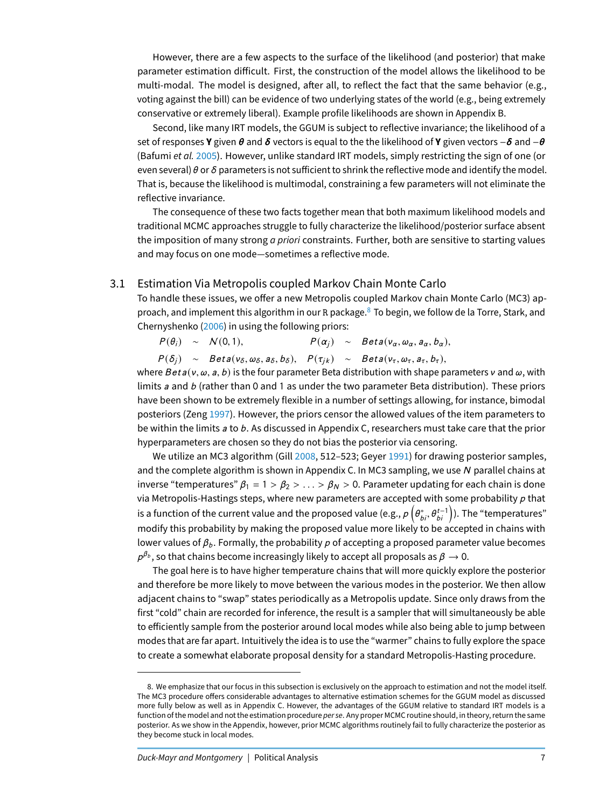However, there are a few aspects to the surface of the likelihood (and posterior) that make parameter estimation difficult. First, the construction of the model allows the likelihood to be multi-modal. The model is designed, after all, to reflect the fact that the same behavior (e.g., voting against the bill) can be evidence of two underlying states of the world (e.g., being extremely conservative or extremely liberal). Example profile likelihoods are shown in Appendix B.

Second, like many IRT models, the GGUM is subject to reflective invariance; the likelihood of a set of responses **Y** given θ and δ vectors is equal to the the likelihood of **Y** given vectors −δ and −θ (Bafumi et al. [2005\)](#page-17-0). However, unlike standard IRT models, simply restricting the sign of one (or even several)  $\theta$  or  $\delta$  parameters is not sufficient to shrink the reflective mode and identify the model. That is, because the likelihood is multimodal, constraining a few parameters will not eliminate the reflective invariance.

The consequence of these two facts together mean that both maximum likelihood models and traditional MCMC approaches struggle to fully characterize the likelihood/posterior surface absent the imposition of many strong *a priori* constraints. Further, both are sensitive to starting values and may focus on one mode—sometimes a reflective mode.

# 3.1 Estimation Via Metropolis coupled Markov Chain Monte Carlo

To handle these issues, we offer a new Metropolis coupled Markov chain Monte Carlo (MC3) approach, and implement this algorithm in our R package. $8$  To begin, we follow de la Torre, Stark, and Chernyshenko [\(2006\)](#page-18-5) in using the following priors:

 $P(\theta_i) \sim N(0, 1),$   $P(\alpha_i) \sim Beta(v_\alpha, \omega_\alpha, a_\alpha, b_\alpha),$ 

 $P(\delta_i) \sim Beta(v_\delta, \omega_\delta, a_\delta, b_\delta), P(\tau_{ik}) \sim Beta(v_\tau, \omega_\tau, a_\tau, b_\tau),$ 

where  $Beta(v, \omega, a, b)$  is the four parameter Beta distribution with shape parameters v and  $\omega$ , with limits  $a$  and  $b$  (rather than 0 and 1 as under the two parameter Beta distribution). These priors have been shown to be extremely flexible in a number of settings allowing, for instance, bimodal posteriors (Zeng [1997\)](#page-19-16). However, the priors censor the allowed values of the item parameters to be within the limits a to b. As discussed in Appendix C, researchers must take care that the prior hyperparameters are chosen so they do not bias the posterior via censoring.

We utilize an MC3 algorithm (Gill [2008,](#page-18-12) 512-523; Geyer [1991\)](#page-18-13) for drawing posterior samples, and the complete algorithm is shown in Appendix C. In MC3 sampling, we use N parallel chains at inverse "temperatures"  $\beta_1 = 1 > \beta_2 > ... > \beta_N > 0$ . Parameter updating for each chain is done via Metropolis-Hastings steps, where new parameters are accepted with some probability  $p$  that is a function of the current value and the proposed value (e.g.,  $\rho\left(\theta_{bi}^*,\theta_{bi}^{t-1}\right)$ ). The "temperatures"<br>see if , this see heldility because the concerned also see while the because the contribution of the modify this probability by making the proposed value more likely to be accepted in chains with lower values of  $\beta_b$ . Formally, the probability p of accepting a proposed parameter value becomes  $\rho^{\beta_b}$ , so that chains become increasingly likely to accept all proposals as  $\beta\to 0.$ 

The goal here is to have higher temperature chains that will more quickly explore the posterior and therefore be more likely to move between the various modes in the posterior. We then allow adjacent chains to "swap" states periodically as a Metropolis update. Since only draws from the first "cold" chain are recorded for inference, the result is a sampler that will simultaneously be able to efficiently sample from the posterior around local modes while also being able to jump between modes that are far apart. Intuitively the idea is to use the "warmer" chains to fully explore the space to create a somewhat elaborate proposal density for a standard Metropolis-Hasting procedure.

<span id="page-6-0"></span><sup>8.</sup> We emphasize that our focus in this subsection is exclusively on the approach to estimation and not the model itself. The MC3 procedure offers considerable advantages to alternative estimation schemes for the GGUM model as discussed more fully below as well as in Appendix C. However, the advantages of the GGUM relative to standard IRT models is a function of the model and not the estimation procedure per se. Any proper MCMC routine should, in theory, return the same posterior. As we show in the Appendix, however, prior MCMC algorithms routinely fail to fully characterize the posterior as they become stuck in local modes.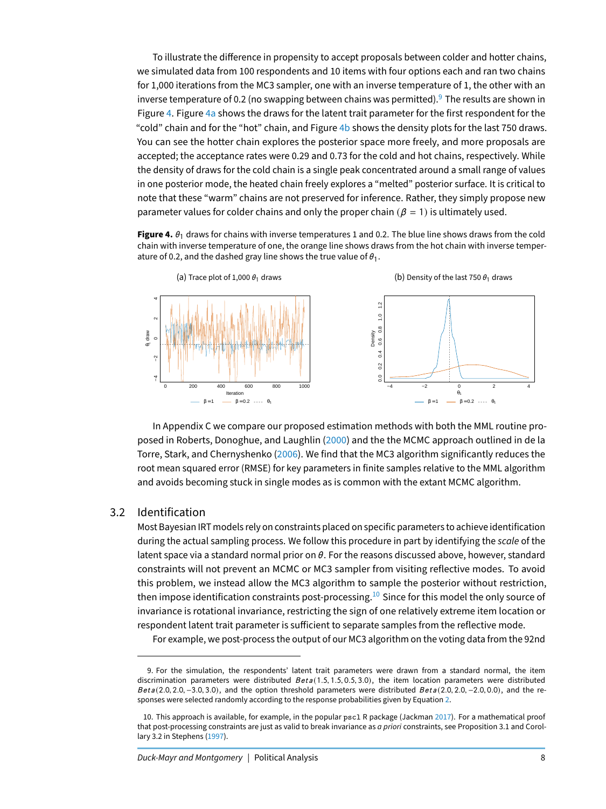To illustrate the difference in propensity to accept proposals between colder and hotter chains, we simulated data from 100 respondents and 10 items with four options each and ran two chains for 1,000 iterations from the MC3 sampler, one with an inverse temperature of 1, the other with an inverse temperature of 0.2 (no swapping between chains was permitted). <sup>[9](#page-7-0)</sup> The results are shown in Figure [4.](#page-7-1) Figure [4a](#page-7-1) shows the draws for the latent trait parameter for the first respondent for the "cold" chain and for the "hot" chain, and Figure [4b](#page-7-1) shows the density plots for the last 750 draws. You can see the hotter chain explores the posterior space more freely, and more proposals are accepted; the acceptance rates were 0.29 and 0.73 for the cold and hot chains, respectively. While the density of draws for the cold chain is a single peak concentrated around a small range of values in one posterior mode, the heated chain freely explores a "melted" posterior surface. It is critical to note that these "warm" chains are not preserved for inference. Rather, they simply propose new parameter values for colder chains and only the proper chain ( $\beta = 1$ ) is ultimately used.

<span id="page-7-1"></span>**Figure 4.**  $\theta_1$  draws for chains with inverse temperatures 1 and 0.2. The blue line shows draws from the cold chain with inverse temperature of one, the orange line shows draws from the hot chain with inverse temperature of 0.2, and the dashed gray line shows the true value of  $\theta_1$ .



In Appendix C we compare our proposed estimation methods with both the MML routine proposed in Roberts, Donoghue, and Laughlin [\(2000\)](#page-19-8) and the the MCMC approach outlined in de la Torre, Stark, and Chernyshenko [\(2006\)](#page-18-5). We find that the MC3 algorithm significantly reduces the root mean squared error (RMSE) for key parameters in finite samples relative to the MML algorithm and avoids becoming stuck in single modes as is common with the extant MCMC algorithm.

### 3.2 Identification

Most Bayesian IRT models rely on constraints placed on specific parameters to achieve identification during the actual sampling process. We follow this procedure in part by identifying the scale of the latent space via a standard normal prior on  $\theta$ . For the reasons discussed above, however, standard constraints will not prevent an MCMC or MC3 sampler from visiting reflective modes. To avoid this problem, we instead allow the MC3 algorithm to sample the posterior without restriction, then impose identification constraints post-processing.<sup>[10](#page-7-2)</sup> Since for this model the only source of invariance is rotational invariance, restricting the sign of one relatively extreme item location or respondent latent trait parameter is sufficient to separate samples from the reflective mode.

For example, we post-process the output of our MC3 algorithm on the voting data from the 92nd

<span id="page-7-0"></span><sup>9.</sup> For the simulation, the respondents' latent trait parameters were drawn from a standard normal, the item discrimination parameters were distributed  $Beta(1.5, 1.5, 0.5, 3.0)$ , the item location parameters were distributed Bet a (2.0, 2.0, -3.0, 3.0), and the option threshold parameters were distributed Bet a (2.0, 2.0, -2.0, 0.0), and the responses were selected randomly according to the response probabilities given by Equation [2.](#page-5-2)

<span id="page-7-2"></span><sup>10.</sup> This approach is available, for example, in the popular pscl R package (Jackman [2017\)](#page-18-14). For a mathematical proof that post-processing constraints are just as valid to break invariance as *a priori* constraints, see Proposition 3.1 and Corollary 3.2 in Stephens [\(1997\)](#page-19-17).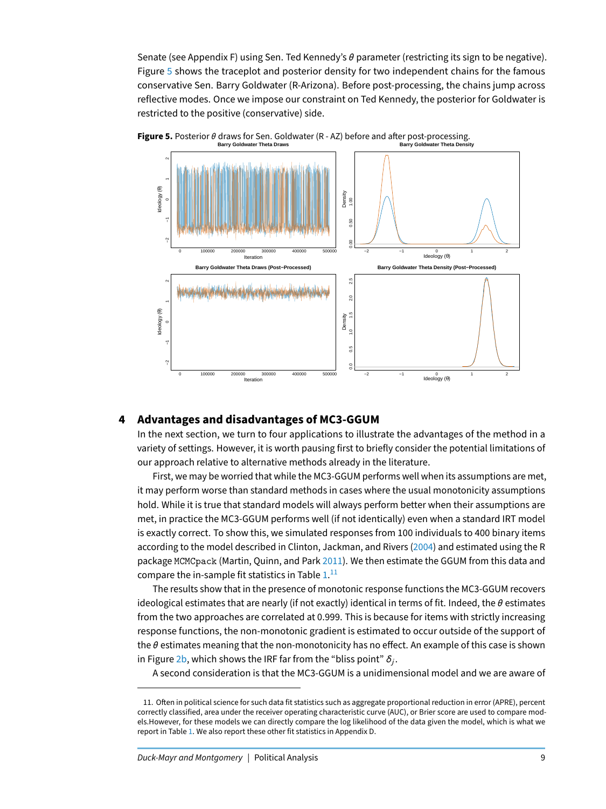Senate (see Appendix F) using Sen. Ted Kennedy's  $\theta$  parameter (restricting its sign to be negative). Figure [5](#page-8-0) shows the traceplot and posterior density for two independent chains for the famous conservative Sen. Barry Goldwater (R-Arizona). Before post-processing, the chains jump across reflective modes. Once we impose our constraint on Ted Kennedy, the posterior for Goldwater is restricted to the positive (conservative) side.



<span id="page-8-0"></span>![](_page_8_Figure_2.jpeg)

# **4 Advantages and disadvantages of MC3-GGUM**

In the next section, we turn to four applications to illustrate the advantages of the method in a variety of settings. However, it is worth pausing first to briefly consider the potential limitations of our approach relative to alternative methods already in the literature.

First, we may be worried that while the MC3-GGUM performs well when its assumptions are met, it may perform worse than standard methods in cases where the usual monotonicity assumptions hold. While it is true that standard models will always perform better when their assumptions are met, in practice the MC3-GGUM performs well (if not identically) even when a standard IRT model is exactly correct. To show this, we simulated responses from 100 individuals to 400 binary items according to the model described in Clinton, Jackman, and Rivers [\(2004\)](#page-18-2) and estimated using the R package MCMCpack (Martin, Quinn, and Park [2011\)](#page-19-18). We then estimate the GGUM from this data and compare the in-sample fit statistics in Table  $1.^{\rm 11}$  $1.^{\rm 11}$  $1.^{\rm 11}$  $1.^{\rm 11}$ 

The results show that in the presence of monotonic response functions the MC3-GGUM recovers ideological estimates that are nearly (if not exactly) identical in terms of fit. Indeed, the  $\theta$  estimates from the two approaches are correlated at 0.999. This is because for items with strictly increasing response functions, the non-monotonic gradient is estimated to occur outside of the support of the  $\theta$  estimates meaning that the non-monotonicity has no effect. An example of this case is shown in Figure [2b,](#page-3-0) which shows the IRF far from the "bliss point"  $\delta_j.$ 

A second consideration is that the MC3-GGUM is a unidimensional model and we are aware of

<span id="page-8-1"></span><sup>11.</sup> Often in political science for such data fit statistics such as aggregate proportional reduction in error (APRE), percent correctly classified, area under the receiver operating characteristic curve (AUC), or Brier score are used to compare models.However, for these models we can directly compare the log likelihood of the data given the model, which is what we report in Table [1.](#page-9-0) We also report these other fit statistics in Appendix D.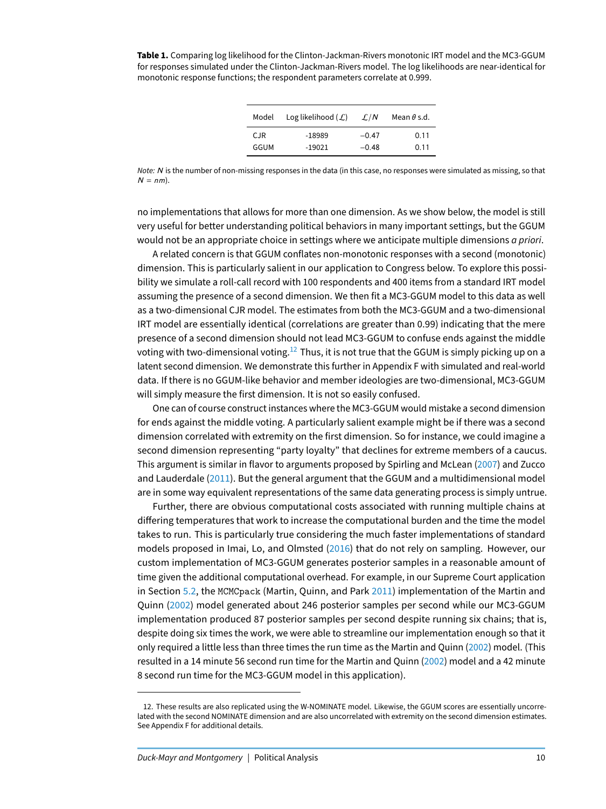<span id="page-9-0"></span>**Table 1.** Comparing log likelihood for the Clinton-Jackman-Rivers monotonic IRT model and the MC3-GGUM for responses simulated under the Clinton-Jackman-Rivers model. The log likelihoods are near-identical for monotonic response functions; the respondent parameters correlate at 0.999.

| Model | Log likelihood $(\mathcal{L})$ | $\mathcal{L}/N$ | Mean $\theta$ s.d. |
|-------|--------------------------------|-----------------|--------------------|
| CJR.  | -18989                         | $-0.47$         | 0.11               |
| GGUM  | $-19021$                       | $-0.48$         | 0.11               |

Note: N is the number of non-missing responses in the data (in this case, no responses were simulated as missing, so that  $N = nm$ ).

no implementations that allows for more than one dimension. As we show below, the model is still very useful for better understanding political behaviors in many important settings, but the GGUM would not be an appropriate choice in settings where we anticipate multiple dimensions *a priori*.

A related concern is that GGUM conflates non-monotonic responses with a second (monotonic) dimension. This is particularly salient in our application to Congress below. To explore this possibility we simulate a roll-call record with 100 respondents and 400 items from a standard IRT model assuming the presence of a second dimension. We then fit a MC3-GGUM model to this data as well as a two-dimensional CJR model. The estimates from both the MC3-GGUM and a two-dimensional IRT model are essentially identical (correlations are greater than 0.99) indicating that the mere presence of a second dimension should not lead MC3-GGUM to confuse ends against the middle voting with two-dimensional voting.<sup>[12](#page-9-1)</sup> Thus, it is not true that the GGUM is simply picking up on a latent second dimension. We demonstrate this further in Appendix F with simulated and real-world data. If there is no GGUM-like behavior and member ideologies are two-dimensional, MC3-GGUM will simply measure the first dimension. It is not so easily confused.

One can of course construct instances where the MC3-GGUM would mistake a second dimension for ends against the middle voting. A particularly salient example might be if there was a second dimension correlated with extremity on the first dimension. So for instance, we could imagine a second dimension representing "party loyalty" that declines for extreme members of a caucus. This argument is similar in flavor to arguments proposed by Spirling and McLean [\(2007\)](#page-19-4) and Zucco and Lauderdale [\(2011\)](#page-19-14). But the general argument that the GGUM and a multidimensional model are in some way equivalent representations of the same data generating process is simply untrue.

Further, there are obvious computational costs associated with running multiple chains at differing temperatures that work to increase the computational burden and the time the model takes to run. This is particularly true considering the much faster implementations of standard models proposed in Imai, Lo, and Olmsted [\(2016\)](#page-18-15) that do not rely on sampling. However, our custom implementation of MC3-GGUM generates posterior samples in a reasonable amount of time given the additional computational overhead. For example, in our Supreme Court application in Section [5.2,](#page-12-0) the MCMCpack (Martin, Quinn, and Park [2011\)](#page-19-18) implementation of the Martin and Quinn [\(2002\)](#page-19-1) model generated about 246 posterior samples per second while our MC3-GGUM implementation produced 87 posterior samples per second despite running six chains; that is, despite doing six times the work, we were able to streamline our implementation enough so that it only required a little less than three times the run time as the Martin and Quinn [\(2002\)](#page-19-1) model. (This resulted in a 14 minute 56 second run time for the Martin and Quinn [\(2002\)](#page-19-1) model and a 42 minute 8 second run time for the MC3-GGUM model in this application).

<span id="page-9-1"></span><sup>12.</sup> These results are also replicated using the W-NOMINATE model. Likewise, the GGUM scores are essentially uncorrelated with the second NOMINATE dimension and are also uncorrelated with extremity on the second dimension estimates. See Appendix F for additional details.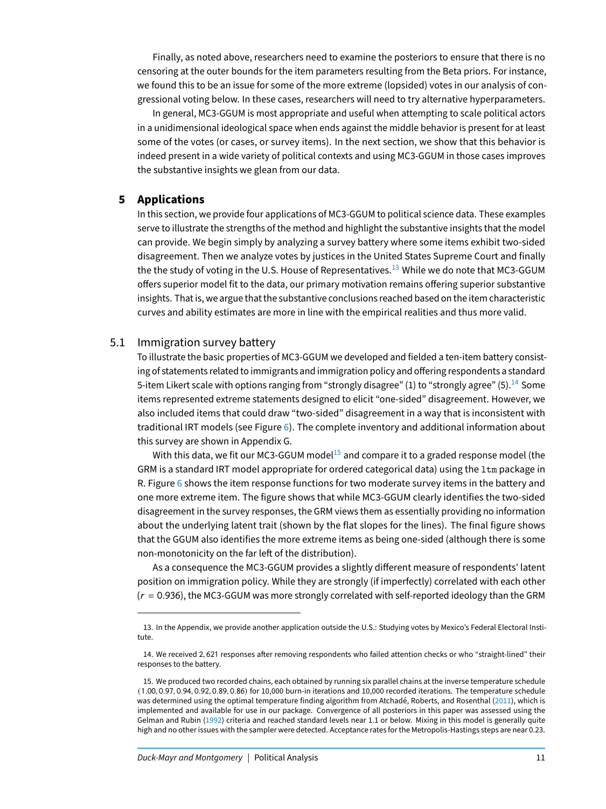Finally, as noted above, researchers need to examine the posteriors to ensure that there is no censoring at the outer bounds for the item parameters resulting from the Beta priors. For instance, we found this to be an issue for some of the more extreme (lopsided) votes in our analysis of congressional voting below. In these cases, researchers will need to try alternative hyperparameters.

In general, MC3-GGUM is most appropriate and useful when attempting to scale political actors in a unidimensional ideological space when ends against the middle behavior is present for at least some of the votes (or cases, or survey items). In the next section, we show that this behavior is indeed present in a wide variety of political contexts and using MC3-GGUM in those cases improves the substantive insights we glean from our data.

#### **5 Applications**

In this section, we provide four applications of MC3-GGUM to political science data. These examples serve to illustrate the strengths of the method and highlight the substantive insights that the model can provide. We begin simply by analyzing a survey battery where some items exhibit two-sided disagreement. Then we analyze votes by justices in the United States Supreme Court and finally the the study of voting in the U.S. House of Representatives.<sup>[13](#page-10-0)</sup> While we do note that MC3-GGUM offers superior model fit to the data, our primary motivation remains offering superior substantive insights. That is, we argue that the substantive conclusions reached based on the item characteristic curves and ability estimates are more in line with the empirical realities and thus more valid.

#### 5.1 Immigration survey battery

To illustrate the basic properties of MC3-GGUM we developed and fielded a ten-item battery consisting of statements related to immigrants and immigration policy and offering respondents a standard 5-item Likert scale with options ranging from "strongly disagree" (1) to "strongly agree" (5).<sup>[14](#page-10-1)</sup> Some items represented extreme statements designed to elicit "one-sided" disagreement. However, we also included items that could draw "two-sided" disagreement in a way that is inconsistent with traditional IRT models (see Figure [6\)](#page-11-0). The complete inventory and additional information about this survey are shown in Appendix G.

With this data, we fit our MC3-GGUM model<sup>[15](#page-10-2)</sup> and compare it to a graded response model (the GRM is a standard IRT model appropriate for ordered categorical data) using the ltm package in R. Figure [6](#page-11-0) shows the item response functions for two moderate survey items in the battery and one more extreme item. The figure shows that while MC3-GGUM clearly identifies the two-sided disagreement in the survey responses, the GRM views them as essentially providing no information about the underlying latent trait (shown by the flat slopes for the lines). The final figure shows that the GGUM also identifies the more extreme items as being one-sided (although there is some non-monotonicity on the far left of the distribution).

As a consequence the MC3-GGUM provides a slightly different measure of respondents' latent position on immigration policy. While they are strongly (if imperfectly) correlated with each other  $(r = 0.936)$ , the MC3-GGUM was more strongly correlated with self-reported ideology than the GRM

<span id="page-10-0"></span><sup>13.</sup> In the Appendix, we provide another application outside the U.S.: Studying votes by Mexico's Federal Electoral Institute.

<span id="page-10-1"></span><sup>14.</sup> We received 2, 621 responses after removing respondents who failed attention checks or who "straight-lined" their responses to the battery.

<span id="page-10-2"></span><sup>15.</sup> We produced two recorded chains, each obtained by running six parallel chains at the inverse temperature schedule (1.00, <sup>0</sup>.97, <sup>0</sup>.94, <sup>0</sup>.92, <sup>0</sup>.89, <sup>0</sup>.86) for 10,000 burn-in iterations and 10,000 recorded iterations. The temperature schedule was determined using the optimal temperature finding algorithm from Atchadé, Roberts, and Rosenthal [\(2011\)](#page-17-7), which is implemented and available for use in our package. Convergence of all posteriors in this paper was assessed using the Gelman and Rubin [\(1992\)](#page-18-16) criteria and reached standard levels near 1.1 or below. Mixing in this model is generally quite high and no other issues with the sampler were detected. Acceptance rates for the Metropolis-Hastings steps are near 0.23.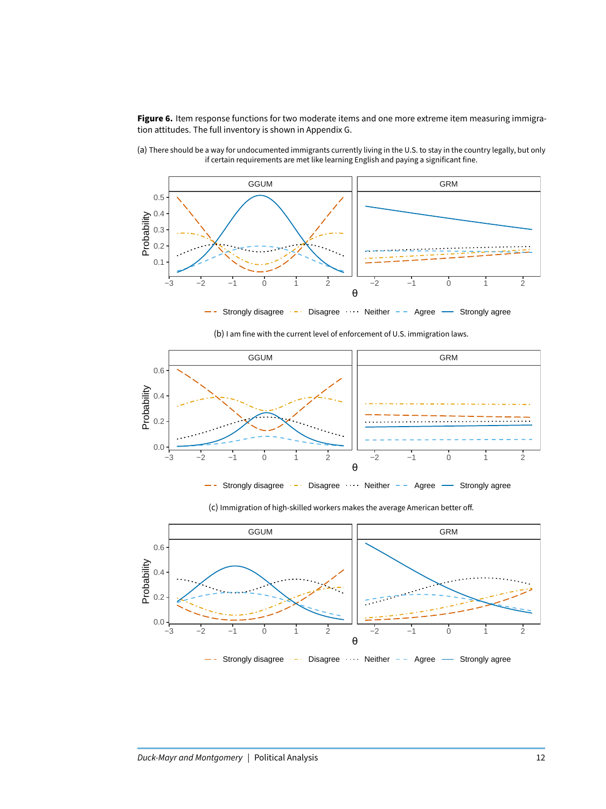<span id="page-11-0"></span>**Figure 6.** Item response functions for two moderate items and one more extreme item measuring immigration attitudes. The full inventory is shown in Appendix G.

![](_page_11_Figure_1.jpeg)

(a) There should be a way for undocumented immigrants currently living in the U.S. to stay in the country legally, but only if certain requirements are met like learning English and paying a significant fine.

(b) I am fine with the current level of enforcement of U.S. immigration laws.

![](_page_11_Figure_4.jpeg)

Strongly disagree  $\cdots$  Disagree  $\cdots$  Neither - Agree  $\cdots$  Strongly agree

![](_page_11_Figure_6.jpeg)

(c) Immigration of high-skilled workers makes the average American better off.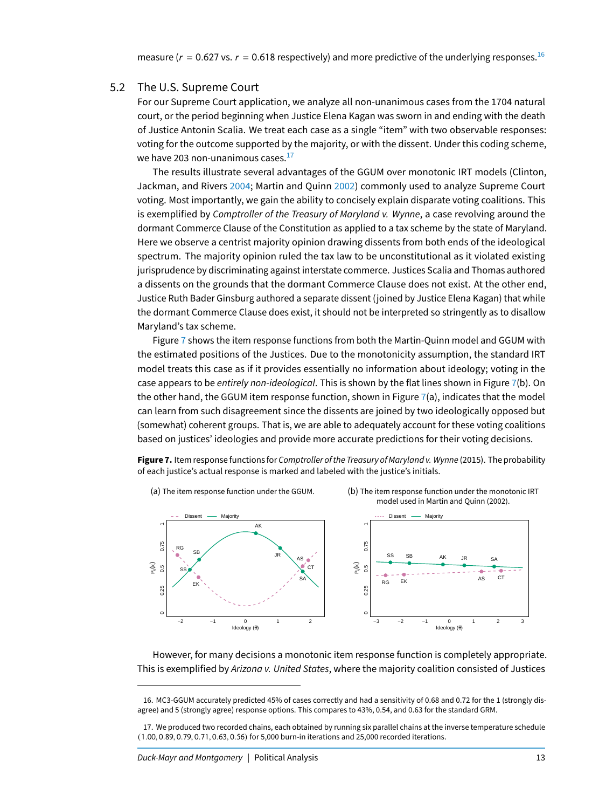#### 5.2 The U.S. Supreme Court

<span id="page-12-0"></span>For our Supreme Court application, we analyze all non-unanimous cases from the 1704 natural court, or the period beginning when Justice Elena Kagan was sworn in and ending with the death of Justice Antonin Scalia. We treat each case as a single "item" with two observable responses: voting for the outcome supported by the majority, or with the dissent. Under this coding scheme, we have 203 non-unanimous cases. $^{17}$  $^{17}$  $^{17}$ 

The results illustrate several advantages of the GGUM over monotonic IRT models (Clinton, Jackman, and Rivers [2004;](#page-18-2) Martin and Quinn [2002\)](#page-19-1) commonly used to analyze Supreme Court voting. Most importantly, we gain the ability to concisely explain disparate voting coalitions. This is exemplified by Comptroller of the Treasury of Maryland v. Wynne, a case revolving around the dormant Commerce Clause of the Constitution as applied to a tax scheme by the state of Maryland. Here we observe a centrist majority opinion drawing dissents from both ends of the ideological spectrum. The majority opinion ruled the tax law to be unconstitutional as it violated existing jurisprudence by discriminating against interstate commerce. Justices Scalia and Thomas authored a dissents on the grounds that the dormant Commerce Clause does not exist. At the other end, Justice Ruth Bader Ginsburg authored a separate dissent (joined by Justice Elena Kagan) that while the dormant Commerce Clause does exist, it should not be interpreted so stringently as to disallow Maryland's tax scheme.

Figure [7](#page-12-3) shows the item response functions from both the Martin-Quinn model and GGUM with the estimated positions of the Justices. Due to the monotonicity assumption, the standard IRT model treats this case as if it provides essentially no information about ideology; voting in the case appears to be entirely non-ideological. This is shown by the flat lines shown in Figure [7\(](#page-12-3)b). On the other hand, the GGUM item response function, shown in Figure  $7(a)$  $7(a)$ , indicates that the model can learn from such disagreement since the dissents are joined by two ideologically opposed but (somewhat) coherent groups. That is, we are able to adequately account for these voting coalitions based on justices' ideologies and provide more accurate predictions for their voting decisions.

<span id="page-12-3"></span>**Figure 7.** Item response functions for Comptroller of the Treasury of Maryland v. Wynne (2015). The probability of each justice's actual response is marked and labeled with the justice's initials.

![](_page_12_Figure_6.jpeg)

However, for many decisions a monotonic item response function is completely appropriate. This is exemplified by Arizona v. United States, where the majority coalition consisted of Justices

<span id="page-12-1"></span><sup>16.</sup> MC3-GGUM accurately predicted 45% of cases correctly and had a sensitivity of 0.68 and 0.72 for the 1 (strongly disagree) and 5 (strongly agree) response options. This compares to 43%, 0.54, and 0.63 for the standard GRM.

<span id="page-12-2"></span><sup>17.</sup> We produced two recorded chains, each obtained by running six parallel chains at the inverse temperature schedule (1.00, <sup>0</sup>.89, <sup>0</sup>.79, <sup>0</sup>.71, <sup>0</sup>.63, <sup>0</sup>.56) for 5,000 burn-in iterations and 25,000 recorded iterations.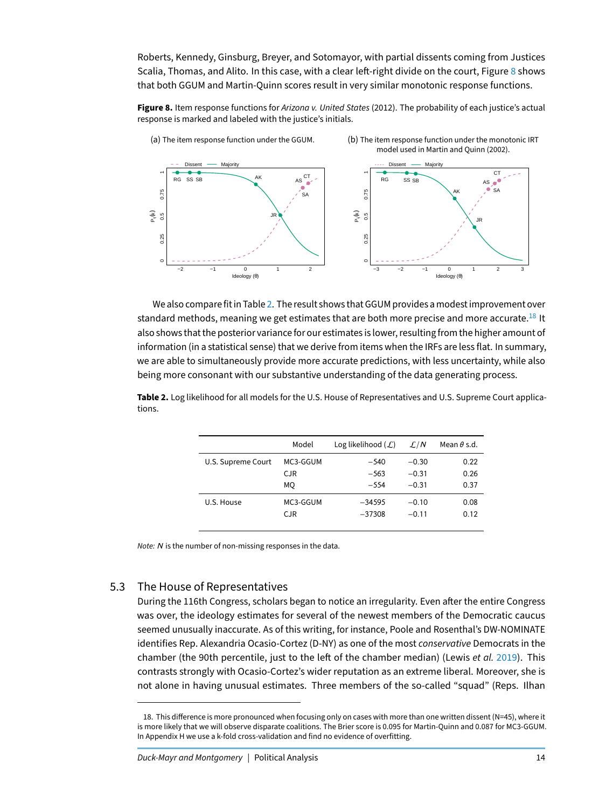Roberts, Kennedy, Ginsburg, Breyer, and Sotomayor, with partial dissents coming from Justices Scalia, Thomas, and Alito. In this case, with a clear left-right divide on the court, Figure [8](#page-13-0) shows that both GGUM and Martin-Quinn scores result in very similar monotonic response functions.

<span id="page-13-0"></span>**Figure 8.** Item response functions for Arizona v. United States (2012). The probability of each justice's actual response is marked and labeled with the justice's initials.

![](_page_13_Figure_2.jpeg)

We also compare fit in Table [2.](#page-13-1) The result shows that GGUM provides a modest improvement over standard methods, meaning we get estimates that are both more precise and more accurate.<sup>[18](#page-13-2)</sup> It also shows that the posterior variance for our estimates is lower, resulting from the higher amount of information (in a statistical sense) that we derive from items when the IRFs are less flat. In summary, we are able to simultaneously provide more accurate predictions, with less uncertainty, while also being more consonant with our substantive understanding of the data generating process.

<span id="page-13-1"></span>**Table 2.** Log likelihood for all models for the U.S. House of Representatives and U.S. Supreme Court applications.

|                    | Model    | Log likelihood $(\mathcal{L})$ | $\mathcal{L}/N$ | Mean $\theta$ s.d. |
|--------------------|----------|--------------------------------|-----------------|--------------------|
| U.S. Supreme Court | MC3-GGUM | $-540$                         | $-0.30$         | 0.22               |
|                    | CJR.     | $-563$                         | $-0.31$         | 0.26               |
|                    | МO       | $-554$                         | $-0.31$         | 0.37               |
| U.S. House         | MC3-GGUM | $-34595$                       | $-0.10$         | 0.08               |
|                    | CJR.     | $-37308$                       | $-0.11$         | 0.12               |
|                    |          |                                |                 |                    |

Note: N is the number of non-missing responses in the data.

# 5.3 The House of Representatives

During the 116th Congress, scholars began to notice an irregularity. Even after the entire Congress was over, the ideology estimates for several of the newest members of the Democratic caucus seemed unusually inaccurate. As of this writing, for instance, Poole and Rosenthal's DW-NOMINATE identifies Rep. Alexandria Ocasio-Cortez (D-NY) as one of the most conservative Democrats in the chamber (the 90th percentile, just to the left of the chamber median) (Lewis et al. [2019\)](#page-19-19). This contrasts strongly with Ocasio-Cortez's wider reputation as an extreme liberal. Moreover, she is not alone in having unusual estimates. Three members of the so-called "squad" (Reps. Ilhan

<span id="page-13-2"></span><sup>18.</sup> This difference is more pronounced when focusing only on cases with more than one written dissent (N=45), where it is more likely that we will observe disparate coalitions. The Brier score is 0.095 for Martin-Quinn and 0.087 for MC3-GGUM. In Appendix H we use a k-fold cross-validation and find no evidence of overfitting.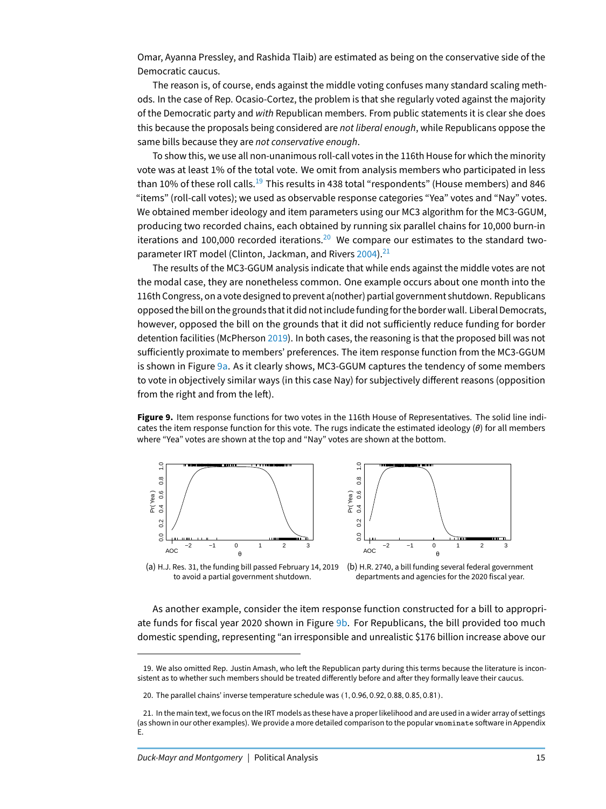Omar, Ayanna Pressley, and Rashida Tlaib) are estimated as being on the conservative side of the Democratic caucus.

The reason is, of course, ends against the middle voting confuses many standard scaling methods. In the case of Rep. Ocasio-Cortez, the problem is that she regularly voted against the majority of the Democratic party and with Republican members. From public statements it is clear she does this because the proposals being considered are not liberal enough, while Republicans oppose the same bills because they are not conservative enough.

To show this, we use all non-unanimous roll-call votes in the 116th House for which the minority vote was at least 1% of the total vote. We omit from analysis members who participated in less than 10% of these roll calls.<sup>[19](#page-14-0)</sup> This results in 438 total "respondents" (House members) and 846 "items" (roll-call votes); we used as observable response categories "Yea" votes and "Nay" votes. We obtained member ideology and item parameters using our MC3 algorithm for the MC3-GGUM, producing two recorded chains, each obtained by running six parallel chains for 10,000 burn-in iterations and 100,000 recorded iterations.<sup>[20](#page-14-1)</sup> We compare our estimates to the standard two-parameter IRT model (Clinton, Jackman, and Rivers [2004\)](#page-18-2).<sup>[21](#page-14-2)</sup>

The results of the MC3-GGUM analysis indicate that while ends against the middle votes are not the modal case, they are nonetheless common. One example occurs about one month into the 116th Congress, on a vote designed to prevent a(nother) partial government shutdown. Republicans opposed the bill on the grounds that it did not includefundingfor the border wall. Liberal Democrats, however, opposed the bill on the grounds that it did not sufficiently reduce funding for border detention facilities (McPherson [2019\)](#page-19-20). In both cases, the reasoning is that the proposed bill was not sufficiently proximate to members' preferences. The item response function from the MC3-GGUM is shown in Figure [9a.](#page-14-3) As it clearly shows, MC3-GGUM captures the tendency of some members to vote in objectively similar ways (in this case Nay) for subjectively different reasons (opposition from the right and from the left).

<span id="page-14-3"></span>**Figure 9.** Item response functions for two votes in the 116th House of Representatives. The solid line indicates the item response function for this vote. The rugs indicate the estimated ideology  $(\theta)$  for all members where "Yea" votes are shown at the top and "Nay" votes are shown at the bottom.

![](_page_14_Figure_5.jpeg)

![](_page_14_Figure_6.jpeg)

(a) H.J. Res. 31, the funding bill passed February 14, 2019 to avoid a partial government shutdown.

(b) H.R. 2740, a bill funding several federal government departments and agencies for the 2020 fiscal year.

As another example, consider the item response function constructed for a bill to appropri-ate funds for fiscal year 2020 shown in Figure [9b.](#page-14-3) For Republicans, the bill provided too much domestic spending, representing "an irresponsible and unrealistic \$176 billion increase above our

<span id="page-14-0"></span><sup>19.</sup> We also omitted Rep. Justin Amash, who left the Republican party during this terms because the literature is inconsistent as to whether such members should be treated differently before and after they formally leave their caucus.

<span id="page-14-2"></span><span id="page-14-1"></span><sup>20.</sup> The parallel chains' inverse temperature schedule was (1, <sup>0</sup>.96, <sup>0</sup>.92, <sup>0</sup>.88, <sup>0</sup>.85, <sup>0</sup>.81).

<sup>21.</sup> In the main text, we focus on the IRT models as these have a proper likelihood and are used in a wider array of settings (as shown in our other examples). We provide a more detailed comparison to the popular wnominate software in Appendix E.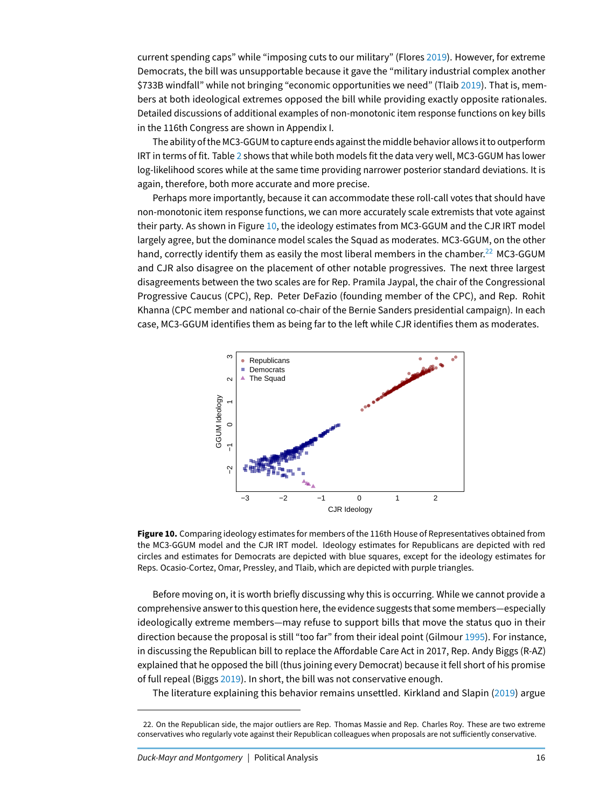current spending caps" while "imposing cuts to our military" (Flores [2019\)](#page-18-17). However, for extreme Democrats, the bill was unsupportable because it gave the "military industrial complex another \$733B windfall" while not bringing "economic opportunities we need" (Tlaib [2019\)](#page-19-21). That is, members at both ideological extremes opposed the bill while providing exactly opposite rationales. Detailed discussions of additional examples of non-monotonic item response functions on key bills in the 116th Congress are shown in Appendix I.

The ability of the MC3-GGUM to capture ends against the middle behavior allows it to outperform IRT in terms of fit. Table [2](#page-13-1) shows that while both models fit the data very well, MC3-GGUM has lower log-likelihood scores while at the same time providing narrower posterior standard deviations. It is again, therefore, both more accurate and more precise.

Perhaps more importantly, because it can accommodate these roll-call votes that should have non-monotonic item response functions, we can more accurately scale extremists that vote against their party. As shown in Figure [10,](#page-15-0) the ideology estimates from MC3-GGUM and the CJR IRT model largely agree, but the dominance model scales the Squad as moderates. MC3-GGUM, on the other hand, correctly identify them as easily the most liberal members in the chamber.<sup>[22](#page-15-1)</sup> MC3-GGUM and CJR also disagree on the placement of other notable progressives. The next three largest disagreements between the two scales are for Rep. Pramila Jaypal, the chair of the Congressional Progressive Caucus (CPC), Rep. Peter DeFazio (founding member of the CPC), and Rep. Rohit Khanna (CPC member and national co-chair of the Bernie Sanders presidential campaign). In each case, MC3-GGUM identifies them as being far to the left while CJR identifies them as moderates.

<span id="page-15-0"></span>![](_page_15_Figure_3.jpeg)

![](_page_15_Figure_4.jpeg)

Before moving on, it is worth briefly discussing why this is occurring. While we cannot provide a comprehensive answer to this question here, the evidence suggests that some members—especially ideologically extreme members—may refuse to support bills that move the status quo in their direction because the proposal is still "too far" from their ideal point (Gilmour [1995\)](#page-18-18). For instance, in discussing the Republican bill to replace the Affordable Care Act in 2017, Rep. Andy Biggs (R-AZ) explained that he opposed the bill (thus joining every Democrat) because it fell short of his promise of full repeal (Biggs [2019\)](#page-17-8). In short, the bill was not conservative enough.

The literature explaining this behavior remains unsettled. Kirkland and Slapin [\(2019\)](#page-19-12) argue

<span id="page-15-1"></span><sup>22.</sup> On the Republican side, the major outliers are Rep. Thomas Massie and Rep. Charles Roy. These are two extreme conservatives who regularly vote against their Republican colleagues when proposals are not sufficiently conservative.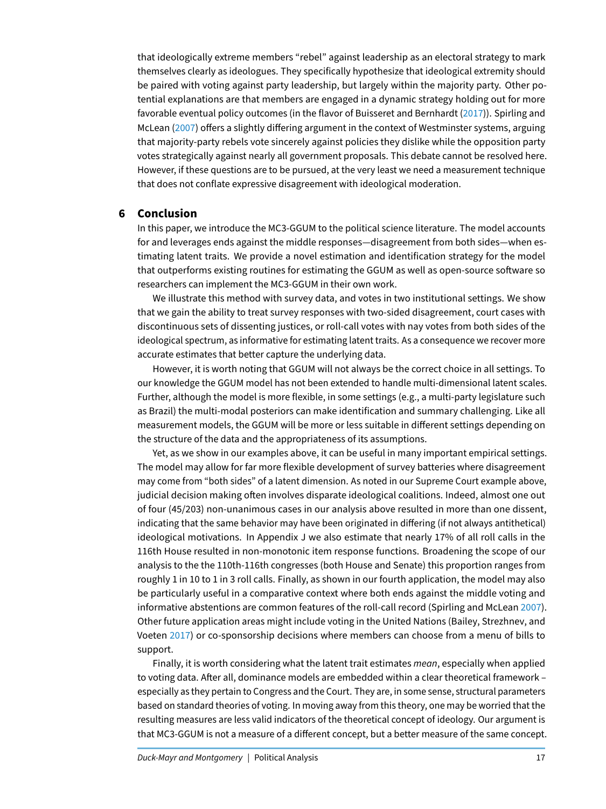that ideologically extreme members "rebel" against leadership as an electoral strategy to mark themselves clearly as ideologues. They specifically hypothesize that ideological extremity should be paired with voting against party leadership, but largely within the majority party. Other potential explanations are that members are engaged in a dynamic strategy holding out for more favorable eventual policy outcomes (in the flavor of Buisseret and Bernhardt [\(2017\)](#page-18-19)). Spirling and McLean [\(2007\)](#page-19-4) offers a slightly differing argument in the context of Westminster systems, arguing that majority-party rebels vote sincerely against policies they dislike while the opposition party votes strategically against nearly all government proposals. This debate cannot be resolved here. However, if these questions are to be pursued, at the very least we need a measurement technique that does not conflate expressive disagreement with ideological moderation.

# **6 Conclusion**

In this paper, we introduce the MC3-GGUM to the political science literature. The model accounts for and leverages ends against the middle responses—disagreement from both sides—when estimating latent traits. We provide a novel estimation and identification strategy for the model that outperforms existing routines for estimating the GGUM as well as open-source software so researchers can implement the MC3-GGUM in their own work.

We illustrate this method with survey data, and votes in two institutional settings. We show that we gain the ability to treat survey responses with two-sided disagreement, court cases with discontinuous sets of dissenting justices, or roll-call votes with nay votes from both sides of the ideological spectrum, as informative for estimating latent traits. As a consequence we recover more accurate estimates that better capture the underlying data.

However, it is worth noting that GGUM will not always be the correct choice in all settings. To our knowledge the GGUM model has not been extended to handle multi-dimensional latent scales. Further, although the model is more flexible, in some settings (e.g., a multi-party legislature such as Brazil) the multi-modal posteriors can make identification and summary challenging. Like all measurement models, the GGUM will be more or less suitable in different settings depending on the structure of the data and the appropriateness of its assumptions.

Yet, as we show in our examples above, it can be useful in many important empirical settings. The model may allow for far more flexible development of survey batteries where disagreement may come from "both sides" of a latent dimension. As noted in our Supreme Court example above, judicial decision making often involves disparate ideological coalitions. Indeed, almost one out of four (45/203) non-unanimous cases in our analysis above resulted in more than one dissent, indicating that the same behavior may have been originated in differing (if not always antithetical) ideological motivations. In Appendix J we also estimate that nearly 17% of all roll calls in the 116th House resulted in non-monotonic item response functions. Broadening the scope of our analysis to the the 110th-116th congresses (both House and Senate) this proportion ranges from roughly 1 in 10 to 1 in 3 roll calls. Finally, as shown in our fourth application, the model may also be particularly useful in a comparative context where both ends against the middle voting and informative abstentions are common features of the roll-call record (Spirling and McLean [2007\)](#page-19-4). Other future application areas might include voting in the United Nations (Bailey, Strezhnev, and Voeten [2017\)](#page-17-1) or co-sponsorship decisions where members can choose from a menu of bills to support.

Finally, it is worth considering what the latent trait estimates mean, especially when applied to voting data. After all, dominance models are embedded within a clear theoretical framework especially as they pertain to Congress and the Court. They are, in some sense, structural parameters based on standard theories of voting. In moving away from this theory, one may be worried that the resulting measures are less valid indicators of the theoretical concept of ideology. Our argument is that MC3-GGUM is not a measure of a different concept, but a better measure of the same concept.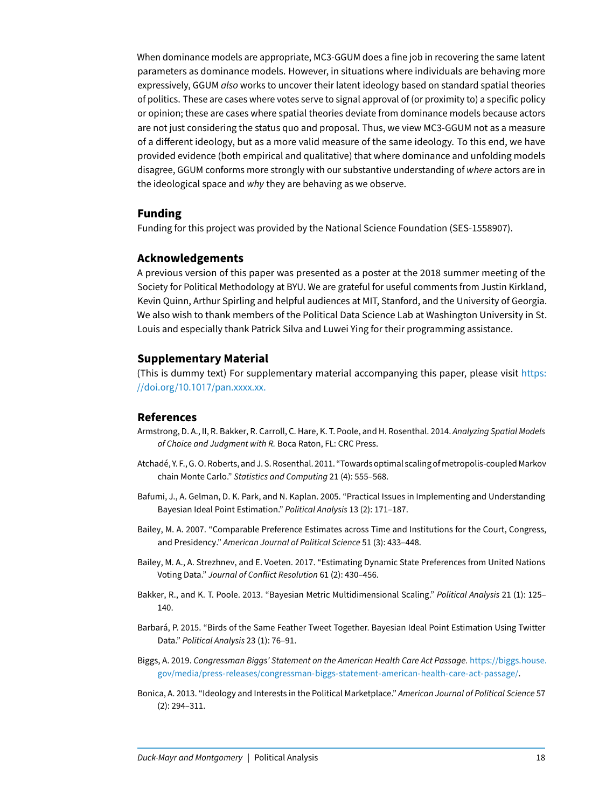When dominance models are appropriate, MC3-GGUM does a fine job in recovering the same latent parameters as dominance models. However, in situations where individuals are behaving more expressively, GGUM *also* works to uncover their latent ideology based on standard spatial theories of politics. These are cases where votes serve to signal approval of (or proximity to) a specific policy or opinion; these are cases where spatial theories deviate from dominance models because actors are not just considering the status quo and proposal. Thus, we view MC3-GGUM not as a measure of a different ideology, but as a more valid measure of the same ideology. To this end, we have provided evidence (both empirical and qualitative) that where dominance and unfolding models disagree, GGUM conforms more strongly with our substantive understanding of where actors are in the ideological space and why they are behaving as we observe.

# **Funding**

Funding for this project was provided by the National Science Foundation (SES-1558907).

# **Acknowledgements**

A previous version of this paper was presented as a poster at the 2018 summer meeting of the Society for Political Methodology at BYU. We are grateful for useful comments from Justin Kirkland, Kevin Quinn, Arthur Spirling and helpful audiences at MIT, Stanford, and the University of Georgia. We also wish to thank members of the Political Data Science Lab at Washington University in St. Louis and especially thank Patrick Silva and Luwei Ying for their programming assistance.

# **Supplementary Material**

(This is dummy text) For supplementary material accompanying this paper, please visit [https:](https://doi.org/10.1017/pan.xxxx.xx.) //doi.org/10.1017[/pan.xxxx.xx.](https://doi.org/10.1017/pan.xxxx.xx.)

#### **References**

- <span id="page-17-5"></span>Armstrong, D. A., II, R. Bakker, R. Carroll, C. Hare, K. T. Poole, and H. Rosenthal. 2014. Analyzing Spatial Models of Choice and Judgment with R. Boca Raton, FL: CRC Press.
- <span id="page-17-7"></span>Atchadé, Y. F., G. O. Roberts, and J. S. Rosenthal. 2011. "Towards optimal scaling ofmetropolis-coupled Markov chain Monte Carlo." Statistics and Computing 21 (4): 555–568.
- <span id="page-17-0"></span>Bafumi, J., A. Gelman, D. K. Park, and N. Kaplan. 2005. "Practical Issues in Implementing and Understanding Bayesian Ideal Point Estimation." Political Analysis 13 (2): 171–187.
- <span id="page-17-2"></span>Bailey, M. A. 2007. "Comparable Preference Estimates across Time and Institutions for the Court, Congress, and Presidency." American Journal of Political Science 51 (3): 433–448.
- <span id="page-17-1"></span>Bailey, M. A., A. Strezhnev, and E. Voeten. 2017. "Estimating Dynamic State Preferences from United Nations Voting Data." Journal of Conflict Resolution 61 (2): 430–456.
- <span id="page-17-6"></span>Bakker, R., and K. T. Poole. 2013. "Bayesian Metric Multidimensional Scaling." Political Analysis 21 (1): 125– 140.
- <span id="page-17-3"></span>Barbará, P. 2015. "Birds of the Same Feather Tweet Together. Bayesian Ideal Point Estimation Using Twitter Data." Political Analysis 23 (1): 76-91.
- <span id="page-17-8"></span>Biggs, A. 2019. Congressman Biggs' Statement on the American Health Care Act Passage. [https://biggs.house.](https://biggs.house.gov/media/press-releases/congressman-biggs-statement-american-health-care-act-passage/) [gov/media/press-releases/congressman-biggs-statement-american-health-care-act-passage/.](https://biggs.house.gov/media/press-releases/congressman-biggs-statement-american-health-care-act-passage/)
- <span id="page-17-4"></span>Bonica, A. 2013. "Ideology and Interests in the Political Marketplace." American Journal of Political Science 57 (2): 294–311.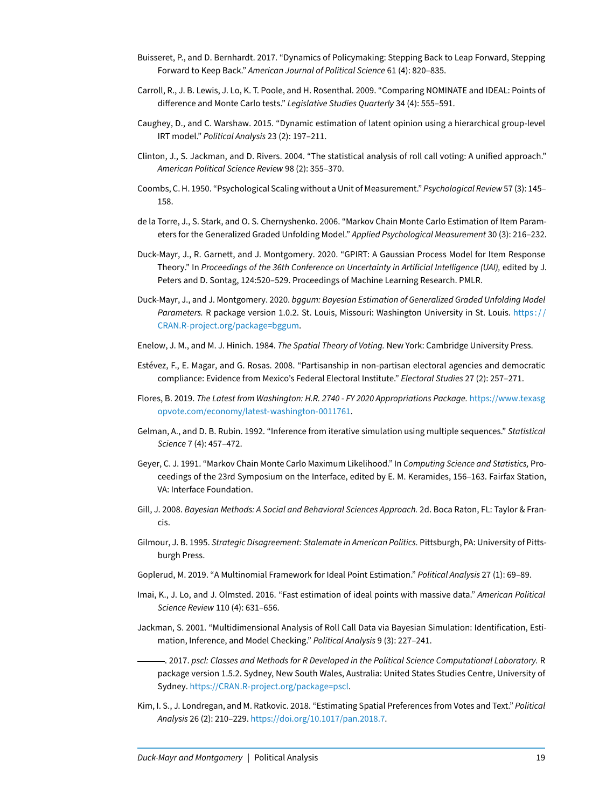- <span id="page-18-19"></span>Buisseret, P., and D. Bernhardt. 2017. "Dynamics of Policymaking: Stepping Back to Leap Forward, Stepping Forward to Keep Back." American Journal of Political Science 61 (4): 820–835.
- <span id="page-18-3"></span>Carroll, R., J. B. Lewis, J. Lo, K. T. Poole, and H. Rosenthal. 2009. "Comparing NOMINATE and IDEAL: Points of difference and Monte Carlo tests." Legislative Studies Quarterly 34 (4): 555-591.
- <span id="page-18-0"></span>Caughey, D., and C. Warshaw. 2015. "Dynamic estimation of latent opinion using a hierarchical group-level IRT model." Political Analysis 23 (2): 197–211.
- <span id="page-18-2"></span>Clinton, J., S. Jackman, and D. Rivers. 2004. "The statistical analysis of roll call voting: A unified approach." American Political Science Review 98 (2): 355–370.
- <span id="page-18-9"></span>Coombs, C. H. 1950. "Psychological Scaling without a Unit of Measurement." Psychological Review 57 (3): 145– 158.
- <span id="page-18-5"></span>de la Torre, J., S. Stark, and O. S. Chernyshenko. 2006. "Markov Chain Monte Carlo Estimation of Item Parameters for the Generalized Graded Unfolding Model." Applied Psychological Measurement 30 (3): 216–232.
- <span id="page-18-7"></span>Duck-Mayr, J., R. Garnett, and J. Montgomery. 2020. "GPIRT: A Gaussian Process Model for Item Response Theory." In Proceedings of the 36th Conference on Uncertainty in Artificial Intelligence (UAI), edited by J. Peters and D. Sontag, 124:520–529. Proceedings of Machine Learning Research. PMLR.
- <span id="page-18-4"></span>Duck-Mayr, J., and J. Montgomery. 2020. bggum: Bayesian Estimation of Generalized Graded Unfolding Model Parameters. R package version 1.0.2. St. Louis, Missouri: Washington University in St. Louis. https:// [CRAN.R-project.org/package=bggum.](https://CRAN.R-project.org/package=bggum)
- <span id="page-18-10"></span>Enelow, J. M., and M. J. Hinich. 1984. The Spatial Theory of Voting. New York: Cambridge University Press.
- <span id="page-18-11"></span>Estévez, F., E. Magar, and G. Rosas. 2008. "Partisanship in non-partisan electoral agencies and democratic compliance: Evidence from Mexico's Federal Electoral Institute." Electoral Studies 27 (2): 257–271.
- <span id="page-18-17"></span>Flores, B. 2019. The Latest from Washington: H.R. 2740 - FY 2020 Appropriations Package. [https://www.texasg](https://www.texasgopvote.com/economy/latest-washington-0011761) [opvote.com/economy/latest-washington-0011761.](https://www.texasgopvote.com/economy/latest-washington-0011761)
- <span id="page-18-16"></span>Gelman, A., and D. B. Rubin. 1992. "Inference from iterative simulation using multiple sequences." Statistical Science 7 (4): 457–472.
- <span id="page-18-13"></span>Geyer, C. J. 1991. "Markov Chain Monte Carlo Maximum Likelihood." In Computing Science and Statistics, Proceedings of the 23rd Symposium on the Interface, edited by E. M. Keramides, 156–163. Fairfax Station, VA: Interface Foundation.
- <span id="page-18-12"></span>Gill, J. 2008. Bayesian Methods: A Social and Behavioral Sciences Approach. 2d. Boca Raton, FL: Taylor & Francis.
- <span id="page-18-18"></span>Gilmour, J. B. 1995. Strategic Disagreement: Stalemate in American Politics. Pittsburgh, PA: University of Pittsburgh Press.
- <span id="page-18-6"></span>Goplerud, M. 2019. "A Multinomial Framework for Ideal Point Estimation." Political Analysis 27 (1): 69–89.
- <span id="page-18-15"></span>Imai, K., J. Lo, and J. Olmsted. 2016. "Fast estimation of ideal points with massive data." American Political Science Review 110 (4): 631–656.
- <span id="page-18-1"></span>Jackman, S. 2001. "Multidimensional Analysis of Roll Call Data via Bayesian Simulation: Identification, Estimation, Inference, and Model Checking." Political Analysis 9 (3): 227–241.
- <span id="page-18-14"></span>. 2017. pscl: Classes and Methods for R Developed in the Political Science Computational Laboratory. R package version 1.5.2. Sydney, New South Wales, Australia: United States Studies Centre, University of Sydney. [https://CRAN.R-project.org/package=pscl.](https://CRAN.R-project.org/package=pscl)
- <span id="page-18-8"></span>Kim, I. S., J. Londregan, and M. Ratkovic. 2018. "Estimating Spatial Preferences from Votes and Text." Political Analysis 26 (2): 210–229. [https://doi.org/10.1017/pan.2018.7.](https://doi.org/10.1017/pan.2018.7)